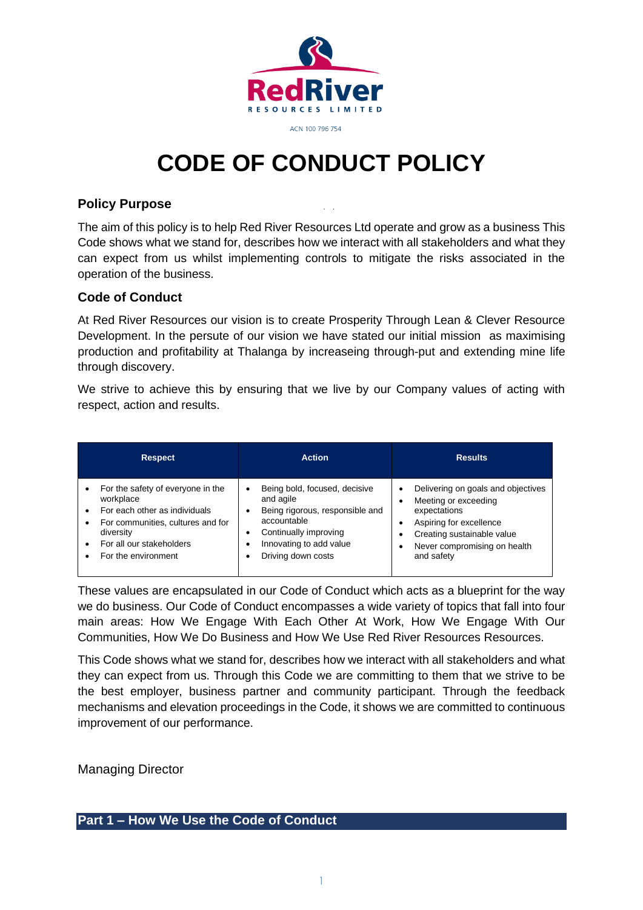

# **CODE OF CONDUCT POLICY**

### **Policy Purpose**

The aim of this policy is to help Red River Resources Ltd operate and grow as a business This Code shows what we stand for, describes how we interact with all stakeholders and what they can expect from us whilst implementing controls to mitigate the risks associated in the operation of the business.

#### **Code of Conduct**

At Red River Resources our vision is to create Prosperity Through Lean & Clever Resource Development. In the persute of our vision we have stated our initial mission as maximising production and profitability at Thalanga by increaseing through-put and extending mine life through discovery.

We strive to achieve this by ensuring that we live by our Company values of acting with respect, action and results.

| <b>Respect</b>                    | <b>Action</b>                   | <b>Results</b>                     |
|-----------------------------------|---------------------------------|------------------------------------|
| For the safety of everyone in the | Being bold, focused, decisive   | Delivering on goals and objectives |
| workplace                         | and agile                       | Meeting or exceeding               |
| For each other as individuals     | Being rigorous, responsible and | expectations                       |
| For communities, cultures and for | accountable                     | Aspiring for excellence            |
| diversity                         | Continually improving           | Creating sustainable value         |
| For all our stakeholders          | Innovating to add value         | Never compromising on health       |
| For the environment               | Driving down costs              | and safety                         |

These values are encapsulated in our Code of Conduct which acts as a blueprint for the way we do business. Our Code of Conduct encompasses a wide variety of topics that fall into four main areas: How We Engage With Each Other At Work, How We Engage With Our Communities, How We Do Business and How We Use Red River Resources Resources.

This Code shows what we stand for, describes how we interact with all stakeholders and what they can expect from us. Through this Code we are committing to them that we strive to be the best employer, business partner and community participant. Through the feedback mechanisms and elevation proceedings in the Code, it shows we are committed to continuous improvement of our performance.

Managing Director

# **Part 1 – How We Use the Code of Conduct**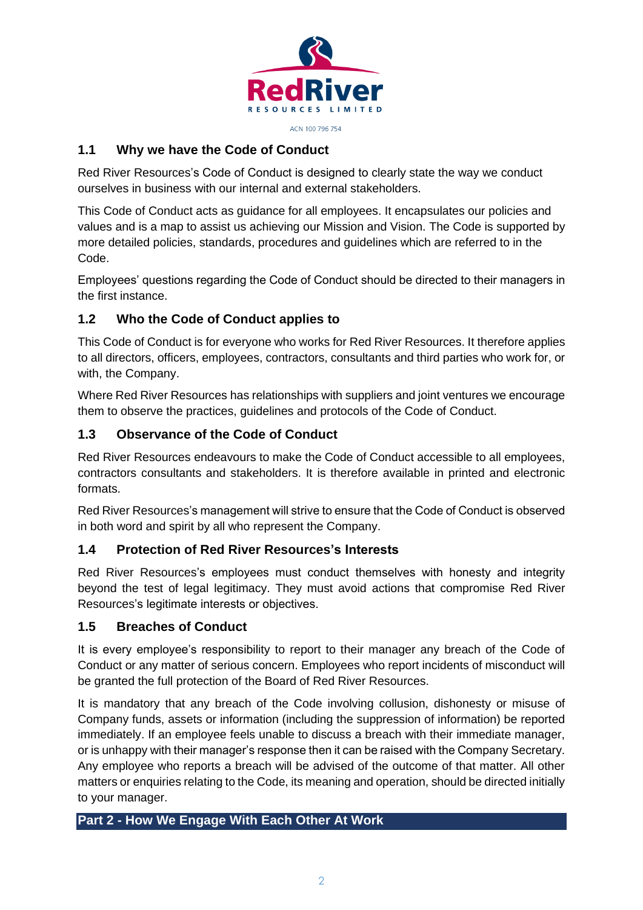

# **1.1 Why we have the Code of Conduct**

Red River Resources's Code of Conduct is designed to clearly state the way we conduct ourselves in business with our internal and external stakeholders.

This Code of Conduct acts as guidance for all employees. It encapsulates our policies and values and is a map to assist us achieving our Mission and Vision. The Code is supported by more detailed policies, standards, procedures and guidelines which are referred to in the Code.

Employees' questions regarding the Code of Conduct should be directed to their managers in the first instance.

# **1.2 Who the Code of Conduct applies to**

This Code of Conduct is for everyone who works for Red River Resources. It therefore applies to all directors, officers, employees, contractors, consultants and third parties who work for, or with, the Company.

Where Red River Resources has relationships with suppliers and joint ventures we encourage them to observe the practices, guidelines and protocols of the Code of Conduct.

# **1.3 Observance of the Code of Conduct**

Red River Resources endeavours to make the Code of Conduct accessible to all employees, contractors consultants and stakeholders. It is therefore available in printed and electronic formats.

Red River Resources's management will strive to ensure that the Code of Conduct is observed in both word and spirit by all who represent the Company.

# **1.4 Protection of Red River Resources's Interests**

Red River Resources's employees must conduct themselves with honesty and integrity beyond the test of legal legitimacy. They must avoid actions that compromise Red River Resources's legitimate interests or objectives.

# **1.5 Breaches of Conduct**

It is every employee's responsibility to report to their manager any breach of the Code of Conduct or any matter of serious concern. Employees who report incidents of misconduct will be granted the full protection of the Board of Red River Resources.

It is mandatory that any breach of the Code involving collusion, dishonesty or misuse of Company funds, assets or information (including the suppression of information) be reported immediately. If an employee feels unable to discuss a breach with their immediate manager, or is unhappy with their manager's response then it can be raised with the Company Secretary. Any employee who reports a breach will be advised of the outcome of that matter. All other matters or enquiries relating to the Code, its meaning and operation, should be directed initially to your manager.

# **Part 2 - How We Engage With Each Other At Work**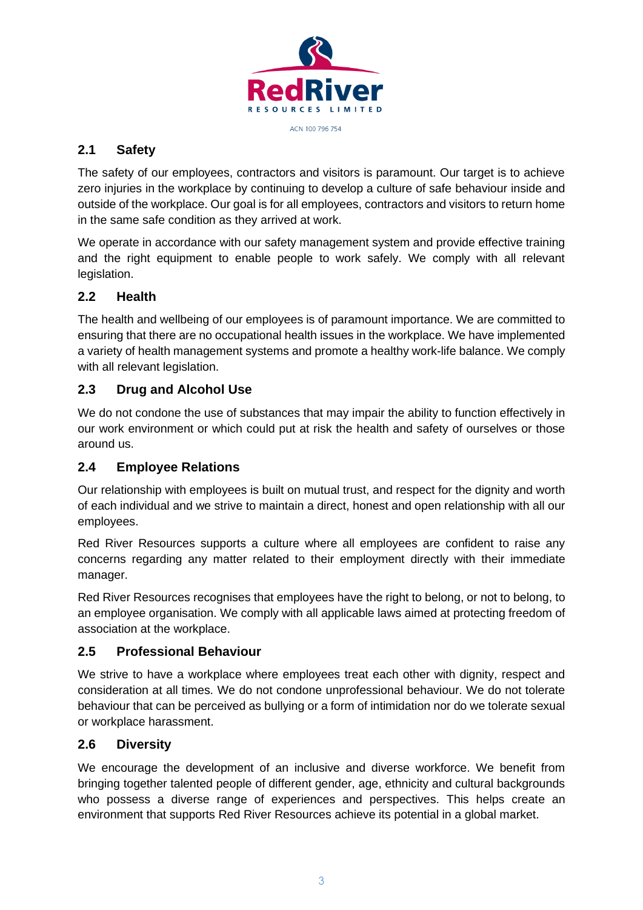

# **2.1 Safety**

The safety of our employees, contractors and visitors is paramount. Our target is to achieve zero injuries in the workplace by continuing to develop a culture of safe behaviour inside and outside of the workplace. Our goal is for all employees, contractors and visitors to return home in the same safe condition as they arrived at work.

We operate in accordance with our safety management system and provide effective training and the right equipment to enable people to work safely. We comply with all relevant legislation.

# **2.2 Health**

The health and wellbeing of our employees is of paramount importance. We are committed to ensuring that there are no occupational health issues in the workplace. We have implemented a variety of health management systems and promote a healthy work-life balance. We comply with all relevant legislation.

# **2.3 Drug and Alcohol Use**

We do not condone the use of substances that may impair the ability to function effectively in our work environment or which could put at risk the health and safety of ourselves or those around us.

# **2.4 Employee Relations**

Our relationship with employees is built on mutual trust, and respect for the dignity and worth of each individual and we strive to maintain a direct, honest and open relationship with all our employees.

Red River Resources supports a culture where all employees are confident to raise any concerns regarding any matter related to their employment directly with their immediate manager.

Red River Resources recognises that employees have the right to belong, or not to belong, to an employee organisation. We comply with all applicable laws aimed at protecting freedom of association at the workplace.

# **2.5 Professional Behaviour**

We strive to have a workplace where employees treat each other with dignity, respect and consideration at all times. We do not condone unprofessional behaviour. We do not tolerate behaviour that can be perceived as bullying or a form of intimidation nor do we tolerate sexual or workplace harassment.

# **2.6 Diversity**

We encourage the development of an inclusive and diverse workforce. We benefit from bringing together talented people of different gender, age, ethnicity and cultural backgrounds who possess a diverse range of experiences and perspectives. This helps create an environment that supports Red River Resources achieve its potential in a global market.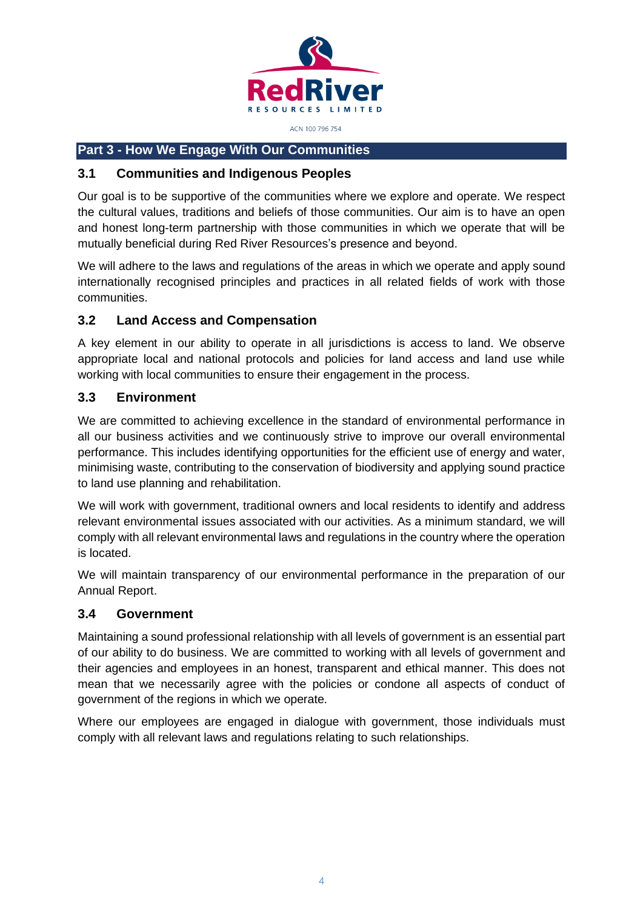

# **Part 3 - How We Engage With Our Communities**

#### **3.1 Communities and Indigenous Peoples**

Our goal is to be supportive of the communities where we explore and operate. We respect the cultural values, traditions and beliefs of those communities. Our aim is to have an open and honest long-term partnership with those communities in which we operate that will be mutually beneficial during Red River Resources's presence and beyond.

We will adhere to the laws and regulations of the areas in which we operate and apply sound internationally recognised principles and practices in all related fields of work with those communities.

#### **3.2 Land Access and Compensation**

A key element in our ability to operate in all jurisdictions is access to land. We observe appropriate local and national protocols and policies for land access and land use while working with local communities to ensure their engagement in the process.

#### **3.3 Environment**

We are committed to achieving excellence in the standard of environmental performance in all our business activities and we continuously strive to improve our overall environmental performance. This includes identifying opportunities for the efficient use of energy and water, minimising waste, contributing to the conservation of biodiversity and applying sound practice to land use planning and rehabilitation.

We will work with government, traditional owners and local residents to identify and address relevant environmental issues associated with our activities. As a minimum standard, we will comply with all relevant environmental laws and regulations in the country where the operation is located.

We will maintain transparency of our environmental performance in the preparation of our Annual Report.

#### **3.4 Government**

Maintaining a sound professional relationship with all levels of government is an essential part of our ability to do business. We are committed to working with all levels of government and their agencies and employees in an honest, transparent and ethical manner. This does not mean that we necessarily agree with the policies or condone all aspects of conduct of government of the regions in which we operate.

Where our employees are engaged in dialogue with government, those individuals must comply with all relevant laws and regulations relating to such relationships.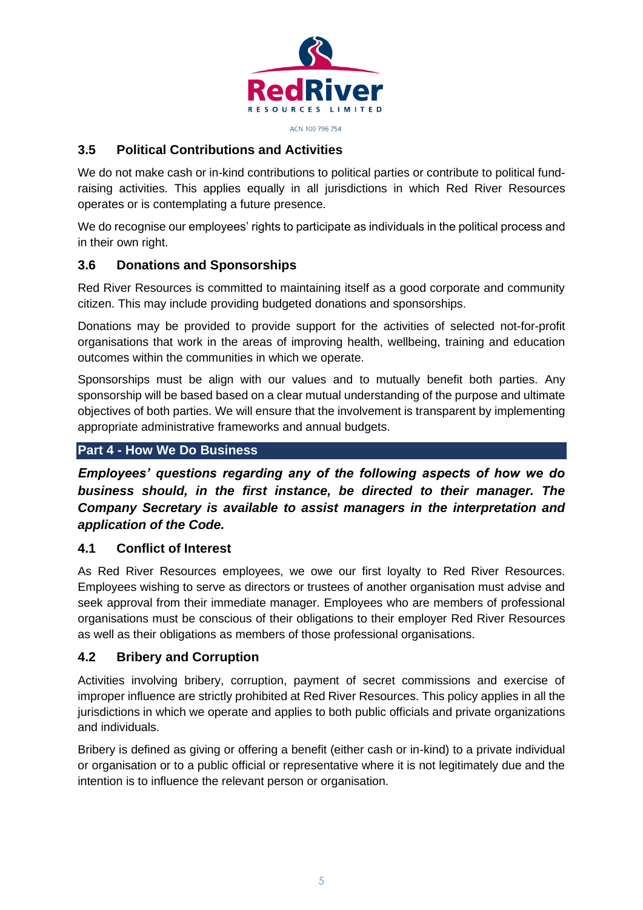

# **3.5 Political Contributions and Activities**

We do not make cash or in-kind contributions to political parties or contribute to political fundraising activities. This applies equally in all jurisdictions in which Red River Resources operates or is contemplating a future presence.

We do recognise our employees' rights to participate as individuals in the political process and in their own right.

# **3.6 Donations and Sponsorships**

Red River Resources is committed to maintaining itself as a good corporate and community citizen. This may include providing budgeted donations and sponsorships.

Donations may be provided to provide support for the activities of selected not-for-profit organisations that work in the areas of improving health, wellbeing, training and education outcomes within the communities in which we operate.

Sponsorships must be align with our values and to mutually benefit both parties. Any sponsorship will be based based on a clear mutual understanding of the purpose and ultimate objectives of both parties. We will ensure that the involvement is transparent by implementing appropriate administrative frameworks and annual budgets.

# **Part 4 - How We Do Business**

*Employees' questions regarding any of the following aspects of how we do business should, in the first instance, be directed to their manager. The Company Secretary is available to assist managers in the interpretation and application of the Code.*

# **4.1 Conflict of Interest**

As Red River Resources employees, we owe our first loyalty to Red River Resources. Employees wishing to serve as directors or trustees of another organisation must advise and seek approval from their immediate manager. Employees who are members of professional organisations must be conscious of their obligations to their employer Red River Resources as well as their obligations as members of those professional organisations.

# **4.2 Bribery and Corruption**

Activities involving bribery, corruption, payment of secret commissions and exercise of improper influence are strictly prohibited at Red River Resources. This policy applies in all the jurisdictions in which we operate and applies to both public officials and private organizations and individuals.

Bribery is defined as giving or offering a benefit (either cash or in-kind) to a private individual or organisation or to a public official or representative where it is not legitimately due and the intention is to influence the relevant person or organisation.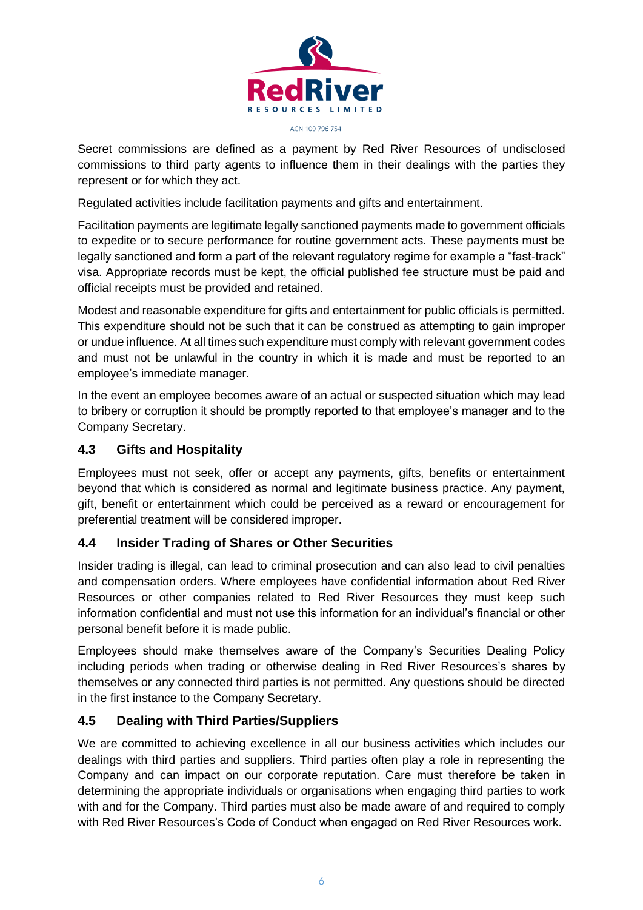

Secret commissions are defined as a payment by Red River Resources of undisclosed commissions to third party agents to influence them in their dealings with the parties they represent or for which they act.

Regulated activities include facilitation payments and gifts and entertainment.

Facilitation payments are legitimate legally sanctioned payments made to government officials to expedite or to secure performance for routine government acts. These payments must be legally sanctioned and form a part of the relevant regulatory regime for example a "fast-track" visa. Appropriate records must be kept, the official published fee structure must be paid and official receipts must be provided and retained.

Modest and reasonable expenditure for gifts and entertainment for public officials is permitted. This expenditure should not be such that it can be construed as attempting to gain improper or undue influence. At all times such expenditure must comply with relevant government codes and must not be unlawful in the country in which it is made and must be reported to an employee's immediate manager.

In the event an employee becomes aware of an actual or suspected situation which may lead to bribery or corruption it should be promptly reported to that employee's manager and to the Company Secretary.

# **4.3 Gifts and Hospitality**

Employees must not seek, offer or accept any payments, gifts, benefits or entertainment beyond that which is considered as normal and legitimate business practice. Any payment, gift, benefit or entertainment which could be perceived as a reward or encouragement for preferential treatment will be considered improper.

# **4.4 Insider Trading of Shares or Other Securities**

Insider trading is illegal, can lead to criminal prosecution and can also lead to civil penalties and compensation orders. Where employees have confidential information about Red River Resources or other companies related to Red River Resources they must keep such information confidential and must not use this information for an individual's financial or other personal benefit before it is made public.

Employees should make themselves aware of the Company's Securities Dealing Policy including periods when trading or otherwise dealing in Red River Resources's shares by themselves or any connected third parties is not permitted. Any questions should be directed in the first instance to the Company Secretary.

# **4.5 Dealing with Third Parties/Suppliers**

We are committed to achieving excellence in all our business activities which includes our dealings with third parties and suppliers. Third parties often play a role in representing the Company and can impact on our corporate reputation. Care must therefore be taken in determining the appropriate individuals or organisations when engaging third parties to work with and for the Company. Third parties must also be made aware of and required to comply with Red River Resources's Code of Conduct when engaged on Red River Resources work.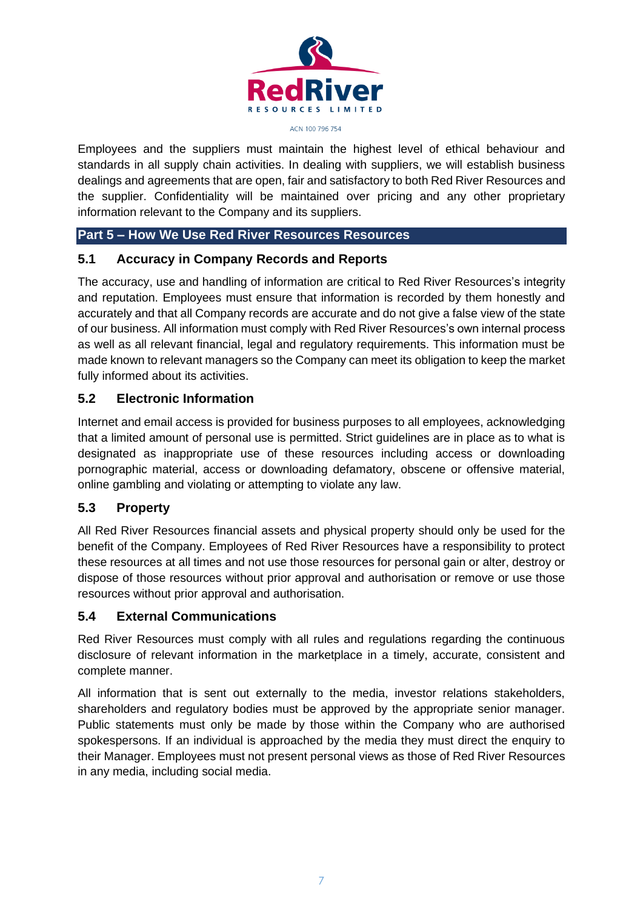

Employees and the suppliers must maintain the highest level of ethical behaviour and standards in all supply chain activities. In dealing with suppliers, we will establish business dealings and agreements that are open, fair and satisfactory to both Red River Resources and the supplier. Confidentiality will be maintained over pricing and any other proprietary information relevant to the Company and its suppliers.

# **Part 5 – How We Use Red River Resources Resources**

# **5.1 Accuracy in Company Records and Reports**

The accuracy, use and handling of information are critical to Red River Resources's integrity and reputation. Employees must ensure that information is recorded by them honestly and accurately and that all Company records are accurate and do not give a false view of the state of our business. All information must comply with Red River Resources's own internal process as well as all relevant financial, legal and regulatory requirements. This information must be made known to relevant managers so the Company can meet its obligation to keep the market fully informed about its activities.

# **5.2 Electronic Information**

Internet and email access is provided for business purposes to all employees, acknowledging that a limited amount of personal use is permitted. Strict guidelines are in place as to what is designated as inappropriate use of these resources including access or downloading pornographic material, access or downloading defamatory, obscene or offensive material, online gambling and violating or attempting to violate any law.

# **5.3 Property**

All Red River Resources financial assets and physical property should only be used for the benefit of the Company. Employees of Red River Resources have a responsibility to protect these resources at all times and not use those resources for personal gain or alter, destroy or dispose of those resources without prior approval and authorisation or remove or use those resources without prior approval and authorisation.

# **5.4 External Communications**

Red River Resources must comply with all rules and regulations regarding the continuous disclosure of relevant information in the marketplace in a timely, accurate, consistent and complete manner.

All information that is sent out externally to the media, investor relations stakeholders, shareholders and regulatory bodies must be approved by the appropriate senior manager. Public statements must only be made by those within the Company who are authorised spokespersons. If an individual is approached by the media they must direct the enquiry to their Manager. Employees must not present personal views as those of Red River Resources in any media, including social media.